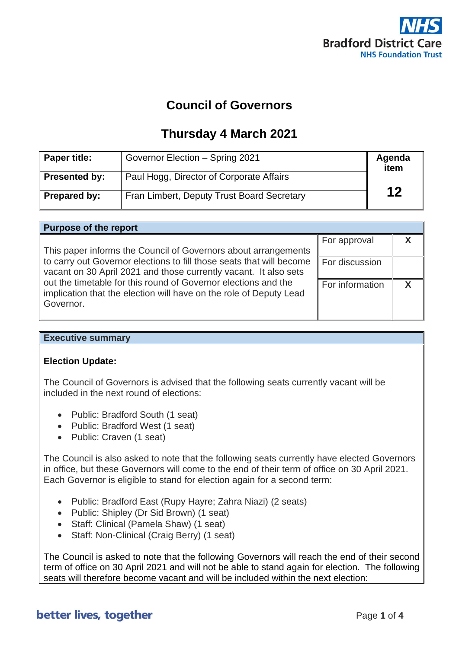

# **Council of Governors**

## **Thursday 4 March 2021**

| Paper title:  | Governor Election - Spring 2021            | Agenda<br>item |
|---------------|--------------------------------------------|----------------|
| Presented by: | Paul Hogg, Director of Corporate Affairs   |                |
| Prepared by:  | Fran Limbert, Deputy Trust Board Secretary | 12             |

| <b>Purpose of the report</b>                                                                                                                      |                 |   |  |
|---------------------------------------------------------------------------------------------------------------------------------------------------|-----------------|---|--|
| This paper informs the Council of Governors about arrangements                                                                                    | For approval    |   |  |
| to carry out Governor elections to fill those seats that will become<br>vacant on 30 April 2021 and those currently vacant. It also sets          | For discussion  |   |  |
| out the timetable for this round of Governor elections and the<br>implication that the election will have on the role of Deputy Lead<br>Governor. | For information | v |  |

### **Executive summary**

### **Election Update:**

The Council of Governors is advised that the following seats currently vacant will be included in the next round of elections:

- Public: Bradford South (1 seat)
- Public: Bradford West (1 seat)
- Public: Craven (1 seat)

The Council is also asked to note that the following seats currently have elected Governors in office, but these Governors will come to the end of their term of office on 30 April 2021. Each Governor is eligible to stand for election again for a second term:

- Public: Bradford East (Rupy Hayre; Zahra Niazi) (2 seats)
- Public: Shipley (Dr Sid Brown) (1 seat)
- Staff: Clinical (Pamela Shaw) (1 seat)
- Staff: Non-Clinical (Craig Berry) (1 seat)

The Council is asked to note that the following Governors will reach the end of their second term of office on 30 April 2021 and will not be able to stand again for election. The following seats will therefore become vacant and will be included within the next election:

### better lives, together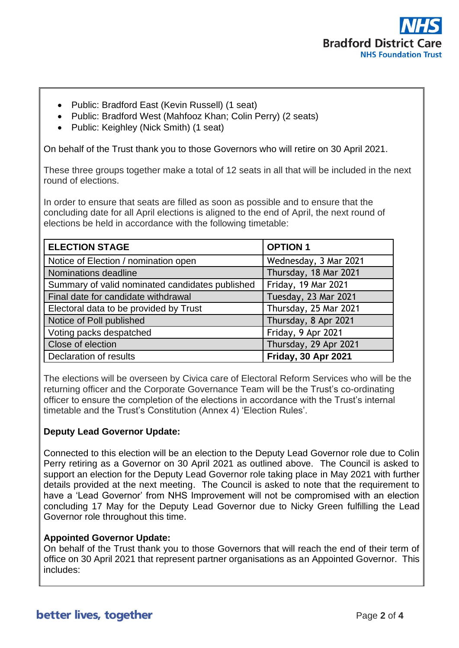

- Public: Bradford East (Kevin Russell) (1 seat)
- Public: Bradford West (Mahfooz Khan; Colin Perry) (2 seats)
- Public: Keighley (Nick Smith) (1 seat)

On behalf of the Trust thank you to those Governors who will retire on 30 April 2021.

These three groups together make a total of 12 seats in all that will be included in the next round of elections.

In order to ensure that seats are filled as soon as possible and to ensure that the concluding date for all April elections is aligned to the end of April, the next round of elections be held in accordance with the following timetable:

| <b>ELECTION STAGE</b>                           | <b>OPTION 1</b>            |
|-------------------------------------------------|----------------------------|
| Notice of Election / nomination open            | Wednesday, 3 Mar 2021      |
| Nominations deadline                            | Thursday, 18 Mar 2021      |
| Summary of valid nominated candidates published | Friday, 19 Mar 2021        |
| Final date for candidate withdrawal             | Tuesday, 23 Mar 2021       |
| Electoral data to be provided by Trust          | Thursday, 25 Mar 2021      |
| Notice of Poll published                        | Thursday, 8 Apr 2021       |
| Voting packs despatched                         | Friday, 9 Apr 2021         |
| Close of election                               | Thursday, 29 Apr 2021      |
| Declaration of results                          | <b>Friday, 30 Apr 2021</b> |

The elections will be overseen by Civica care of Electoral Reform Services who will be the returning officer and the Corporate Governance Team will be the Trust's co-ordinating officer to ensure the completion of the elections in accordance with the Trust's internal timetable and the Trust's Constitution (Annex 4) 'Election Rules'.

### **Deputy Lead Governor Update:**

Connected to this election will be an election to the Deputy Lead Governor role due to Colin Perry retiring as a Governor on 30 April 2021 as outlined above. The Council is asked to support an election for the Deputy Lead Governor role taking place in May 2021 with further details provided at the next meeting. The Council is asked to note that the requirement to have a 'Lead Governor' from NHS Improvement will not be compromised with an election concluding 17 May for the Deputy Lead Governor due to Nicky Green fulfilling the Lead Governor role throughout this time.

### **Appointed Governor Update:**

On behalf of the Trust thank you to those Governors that will reach the end of their term of office on 30 April 2021 that represent partner organisations as an Appointed Governor. This includes: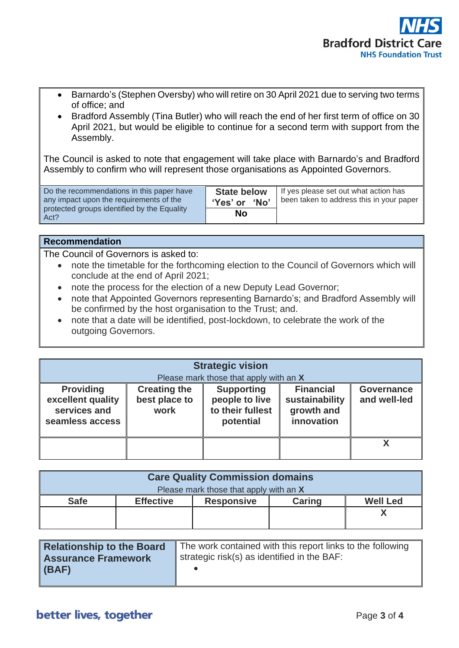

- Barnardo's (Stephen Oversby) who will retire on 30 April 2021 due to serving two terms of office; and
- Bradford Assembly (Tina Butler) who will reach the end of her first term of office on 30 April 2021, but would be eligible to continue for a second term with support from the Assembly.

The Council is asked to note that engagement will take place with Barnardo's and Bradford Assembly to confirm who will represent those organisations as Appointed Governors.

| Do the recommendations in this paper have           | <b>State below</b> | If yes please set out what action has    |
|-----------------------------------------------------|--------------------|------------------------------------------|
| any impact upon the requirements of the             | 'Yes' or 'No'      | been taken to address this in your paper |
| protected groups identified by the Equality<br>Act? | <b>No</b>          |                                          |

#### **Recommendation**

The Council of Governors is asked to:

- note the timetable for the forthcoming election to the Council of Governors which will conclude at the end of April 2021;
- note the process for the election of a new Deputy Lead Governor;
- note that Appointed Governors representing Barnardo's; and Bradford Assembly will be confirmed by the host organisation to the Trust; and.
- note that a date will be identified, post-lockdown, to celebrate the work of the outgoing Governors.

| <b>Strategic vision</b><br>Please mark those that apply with an X        |                                              |                                                                      |                                                                |                                   |
|--------------------------------------------------------------------------|----------------------------------------------|----------------------------------------------------------------------|----------------------------------------------------------------|-----------------------------------|
| <b>Providing</b><br>excellent quality<br>services and<br>seamless access | <b>Creating the</b><br>best place to<br>work | <b>Supporting</b><br>people to live<br>to their fullest<br>potential | <b>Financial</b><br>sustainability<br>growth and<br>innovation | <b>Governance</b><br>and well-led |
|                                                                          |                                              |                                                                      |                                                                |                                   |

| <b>Care Quality Commission domains</b> |                  |                   |               |                 |
|----------------------------------------|------------------|-------------------|---------------|-----------------|
| Please mark those that apply with an X |                  |                   |               |                 |
| <b>Safe</b>                            | <b>Effective</b> | <b>Responsive</b> | <b>Caring</b> | <b>Well Led</b> |
|                                        |                  |                   |               |                 |
|                                        |                  |                   |               |                 |

| Relationship to the Board | The work contained with this report links to the following |
|---------------------------|------------------------------------------------------------|
| Assurance Framework       | strategic risk(s) as identified in the BAF:                |
| $ $ (BAF)                 |                                                            |
|                           |                                                            |

### better lives, together